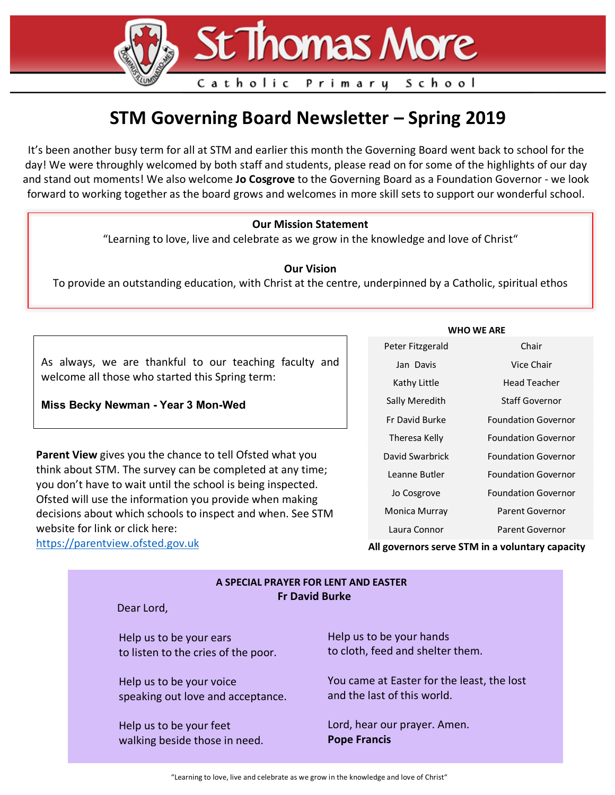# **St Thomas More**

Primary

### **STM Governing Board Newsletter – Spring 2019**

Catholic

It's been another busy term for all at STM and earlier this month the Governing Board went back to school for the day! We were throughly welcomed by both staff and students, please read on for some of the highlights of our day and stand out moments! We also welcome **Jo Cosgrove** to the Governing Board as a Foundation Governor - we look forward to working together as the board grows and welcomes in more skill sets to support our wonderful school.

#### **Our Mission Statement**

"Learning to love, live and celebrate as we grow in the knowledge and love of Christ"

#### **Our Vision**

To provide an outstanding education, with Christ at the centre, underpinned by a Catholic, spiritual ethos

As always, we are thankful to our teaching faculty and welcome all those who started this Spring term:

**Miss Becky Newman - Year 3 Mon-Wed**

**Parent View** gives you the chance to tell Ofsted what you think about STM. The survey can be completed at any time; you don't have to wait until the school is being inspected. Ofsted will use the information you provide when making decisions about which schools to inspect and when. See STM website for link or click here: https://parentview.ofsted.gov.uk

|  | <b>WHO WE ARE</b> |
|--|-------------------|
|  |                   |

School

| Peter Fitzgerald | Chair                      |
|------------------|----------------------------|
| Jan Davis        | Vice Chair                 |
| Kathy Little     | Head Teacher               |
| Sally Meredith   | <b>Staff Governor</b>      |
| Er David Burke   | <b>Foundation Governor</b> |
| Theresa Kelly    | <b>Foundation Governor</b> |
| David Swarbrick  | <b>Foundation Governor</b> |
| Leanne Butler    | <b>Foundation Governor</b> |
| Jo Cosgrove      | <b>Foundation Governor</b> |
| Monica Murray    | Parent Governor            |
| Laura Connor     | <b>Parent Governor</b>     |

**All governors serve STM in a voluntary capacity**

| A SPECIAL PRAYER FOR LENT AND EASTER<br><b>Fr David Burke</b><br>Dear Lord, |                                            |  |  |  |
|-----------------------------------------------------------------------------|--------------------------------------------|--|--|--|
| Help us to be your ears                                                     | Help us to be your hands                   |  |  |  |
| to listen to the cries of the poor.                                         | to cloth, feed and shelter them.           |  |  |  |
| Help us to be your voice                                                    | You came at Easter for the least, the lost |  |  |  |
| speaking out love and acceptance.                                           | and the last of this world.                |  |  |  |
| Help us to be your feet                                                     | Lord, hear our prayer. Amen.               |  |  |  |
| walking beside those in need.                                               | <b>Pope Francis</b>                        |  |  |  |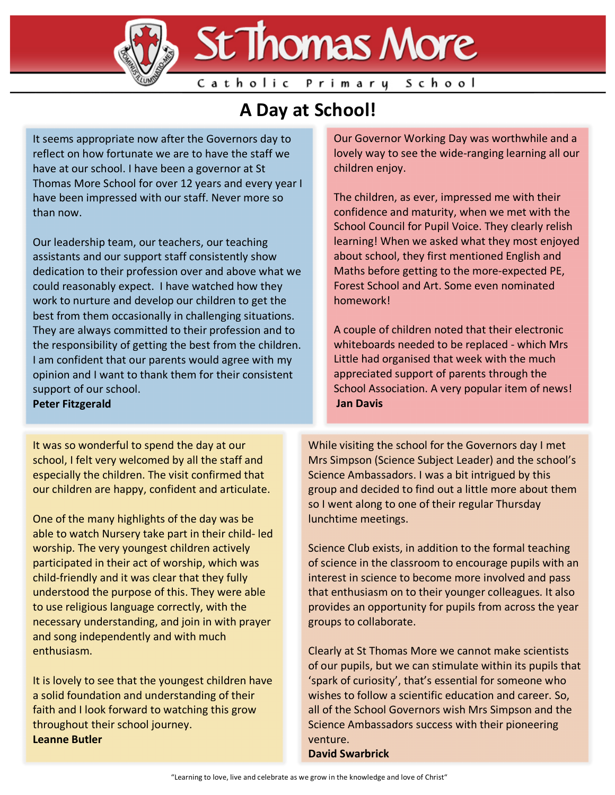

## **A Day at School!**

It seems appropriate now after the Governors day to reflect on how fortunate we are to have the staff we have at our school. I have been a governor at St Thomas More School for over 12 years and every year I have been impressed with our staff. Never more so than now.

Our leadership team, our teachers, our teaching assistants and our support staff consistently show dedication to their profession over and above what we could reasonably expect. I have watched how they work to nurture and develop our children to get the best from them occasionally in challenging situations. They are always committed to their profession and to the responsibility of getting the best from the children. I am confident that our parents would agree with my opinion and I want to thank them for their consistent support of our school.

**Peter Fitzgerald**

It was so wonderful to spend the day at our school, I felt very welcomed by all the staff and especially the children. The visit confirmed that our children are happy, confident and articulate.

One of the many highlights of the day was be able to watch Nursery take part in their child- led worship. The very youngest children actively participated in their act of worship, which was child-friendly and it was clear that they fully understood the purpose of this. They were able to use religious language correctly, with the necessary understanding, and join in with prayer and song independently and with much enthusiasm.

It is lovely to see that the youngest children have a solid foundation and understanding of their faith and I look forward to watching this grow throughout their school journey. **Leanne Butler**

Our Governor Working Day was worthwhile and a lovely way to see the wide-ranging learning all our children enjoy.

The children, as ever, impressed me with their confidence and maturity, when we met with the School Council for Pupil Voice. They clearly relish learning! When we asked what they most enjoyed about school, they first mentioned English and Maths before getting to the more-expected PE, Forest School and Art. Some even nominated homework!

A couple of children noted that their electronic whiteboards needed to be replaced - which Mrs Little had organised that week with the much appreciated support of parents through the School Association. A very popular item of news! **Jan Davis** 

While visiting the school for the Governors day I met Mrs Simpson (Science Subject Leader) and the school's Science Ambassadors. I was a bit intrigued by this group and decided to find out a little more about them so I went along to one of their regular Thursday lunchtime meetings.

Science Club exists, in addition to the formal teaching of science in the classroom to encourage pupils with an interest in science to become more involved and pass that enthusiasm on to their younger colleagues. It also provides an opportunity for pupils from across the year groups to collaborate.

Clearly at St Thomas More we cannot make scientists of our pupils, but we can stimulate within its pupils that 'spark of curiosity', that's essential for someone who wishes to follow a scientific education and career. So, all of the School Governors wish Mrs Simpson and the Science Ambassadors success with their pioneering venture.

**David Swarbrick**